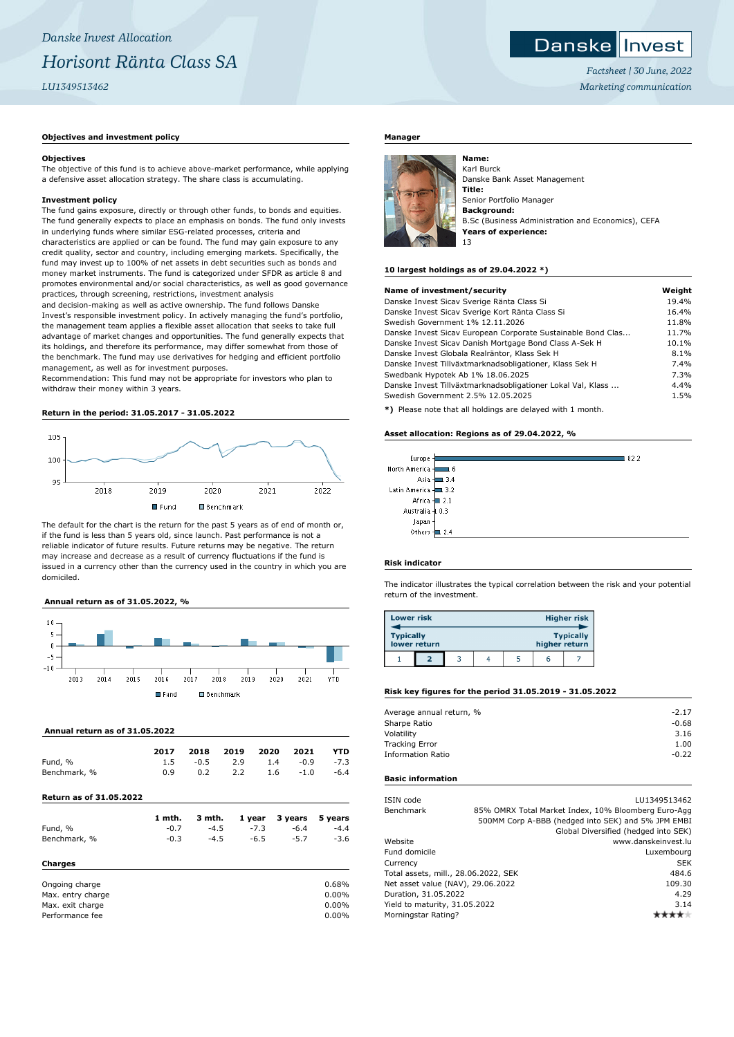# **Danskellnyest**

*Factsheet | 30 June, 2022 Marketing communication*

# **Objectives and investment policy**

#### **Objectives**

The objective of this fund is to achieve above-market performance, while applying a defensive asset allocation strategy. The share class is accumulating.

#### **Investment policy**

The fund gains exposure, directly or through other funds, to bonds and equities. The fund generally expects to place an emphasis on bonds. The fund only invests in underlying funds where similar ESG-related processes, criteria and characteristics are applied or can be found. The fund may gain exposure to any credit quality, sector and country, including emerging markets. Specifically, the fund may invest up to 100% of net assets in debt securities such as bonds and money market instruments. The fund is categorized under SFDR as article 8 and promotes environmental and/or social characteristics, as well as good governance practices, through screening, restrictions, investment analysis

and decision-making as well as active ownership. The fund follows Danske Invest's responsible investment policy. In actively managing the fund's portfolio, the management team applies a flexible asset allocation that seeks to take full advantage of market changes and opportunities. The fund generally expects that its holdings, and therefore its performance, may differ somewhat from those of the benchmark. The fund may use derivatives for hedging and efficient portfolio management, as well as for investment purposes.

Recommendation: This fund may not be appropriate for investors who plan to withdraw their money within 3 years.

#### **Return in the period: 31.05.2017 - 31.05.2022**



The default for the chart is the return for the past 5 years as of end of month or, if the fund is less than 5 years old, since launch. Past performance is not a reliable indicator of future results. Future returns may be negative. The return may increase and decrease as a result of currency fluctuations if the fund is issued in a currency other than the currency used in the country in which you are domiciled.

## **Annual return as of 31.05.2022, %**



# **Annual return as of 31.05.2022**

|                                | 2017   | 2018   | 2019 | 2020   | 2021    | YTD     |
|--------------------------------|--------|--------|------|--------|---------|---------|
| Fund, %                        | 1.5    | $-0.5$ | 2.9  | 1.4    | $-0.9$  | $-7.3$  |
| Benchmark, %                   | 0.9    | 0.2    | 2.2  | 1.6    | $-1.0$  | $-6.4$  |
| <b>Return as of 31.05.2022</b> |        |        |      |        |         |         |
|                                | 1 mth. | 3 mth. |      | 1 year | 3 years | 5 years |
| Fund, %                        | $-0.7$ | $-4.5$ |      | $-7.3$ | $-6.4$  | $-4.4$  |
| Benchmark, %                   | $-0.3$ | $-4.5$ |      | $-6.5$ | $-5.7$  | $-3.6$  |

# **Charges**

| Ongoing charge    | 0.68%    |
|-------------------|----------|
| Max. entry charge | $0.00\%$ |
| Max. exit charge  | $0.00\%$ |
| Performance fee   | $0.00\%$ |

#### **Manager**



Karl Burck Danske Bank Asset Management **Title:** Senior Portfolio Manager **Background:** B.Sc (Business Administration and Economics), CEFA **Years of experience:** 13

#### **10 largest holdings as of 29.04.2022 \*)**

| Name of investment/security                                  | Weight |
|--------------------------------------------------------------|--------|
| Danske Invest Sicav Sverige Ränta Class Si                   | 19.4%  |
| Danske Invest Sicav Sverige Kort Ränta Class Si              | 16.4%  |
| Swedish Government 1% 12.11.2026                             | 11.8%  |
| Danske Invest Sicav European Corporate Sustainable Bond Clas | 11.7%  |
| Danske Invest Sicav Danish Mortgage Bond Class A-Sek H       | 10.1%  |
| Danske Invest Globala Realräntor, Klass Sek H                | 8.1%   |
| Danske Invest Tillväxtmarknadsobligationer, Klass Sek H      | 7.4%   |
| Swedbank Hypotek Ab 1% 18.06.2025                            | 7.3%   |
| Danske Invest Tillväxtmarknadsobligationer Lokal Val, Klass  | 4.4%   |
| Swedish Government 2.5% 12.05.2025                           | 1.5%   |
|                                                              |        |

**\*)** Please note that all holdings are delayed with 1 month.

#### **Asset allocation: Regions as of 29.04.2022, %**

| Europe -            |            | 82.2 |
|---------------------|------------|------|
| North America -     | 16         |      |
|                     | Asia - 3.4 |      |
| Latin America - 3.2 |            |      |
| Africa - 2.1        |            |      |
| Australia 4 0.3     |            |      |
| Japan               |            |      |
| Others - 2.4        |            |      |
|                     |            |      |

# **Risk indicator**

The indicator illustrates the typical correlation between the risk and your potential return of the investment.

| <b>Lower risk</b> |              |  |               | <b>Higher risk</b> |
|-------------------|--------------|--|---------------|--------------------|
| <b>Typically</b>  | lower return |  | higher return | <b>Typically</b>   |
|                   |              |  | h             |                    |

#### **Risk key figures for the period 31.05.2019 - 31.05.2022**

| Average annual return, % | $-2.17$ |
|--------------------------|---------|
| Sharpe Ratio             | $-0.68$ |
| Volatility               | 3.16    |
| <b>Tracking Error</b>    | 1.00    |
| <b>Information Ratio</b> | $-0.22$ |
|                          |         |

#### **Basic information**

| ISIN code                            |  | LU1349513462                                        |
|--------------------------------------|--|-----------------------------------------------------|
| Benchmark                            |  | 85% OMRX Total Market Index, 10% Bloomberg Euro-Agg |
|                                      |  | 500MM Corp A-BBB (hedged into SEK) and 5% JPM EMBI  |
|                                      |  | Global Diversified (hedged into SEK)                |
| Website                              |  | www.danskeinvest.lu                                 |
| Fund domicile                        |  | Luxembourg                                          |
| Currency                             |  | <b>SEK</b>                                          |
| Total assets, mill., 28.06.2022, SEK |  | 484.6                                               |
| Net asset value (NAV), 29.06.2022    |  | 109.30                                              |
| Duration, 31.05.2022                 |  | 4.29                                                |
| Yield to maturity, 31.05.2022        |  | 3.14                                                |
| Morningstar Rating?                  |  |                                                     |
|                                      |  |                                                     |